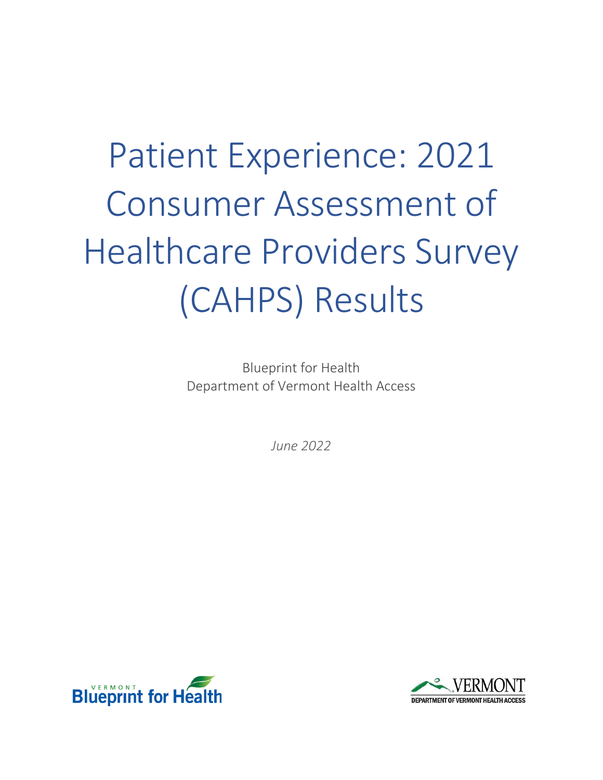# Patient Experience: 2021 Consumer Assessment of Healthcare Providers Survey (CAHPS) Results

Blueprint for Health Department of Vermont Health Access

*June 2022*



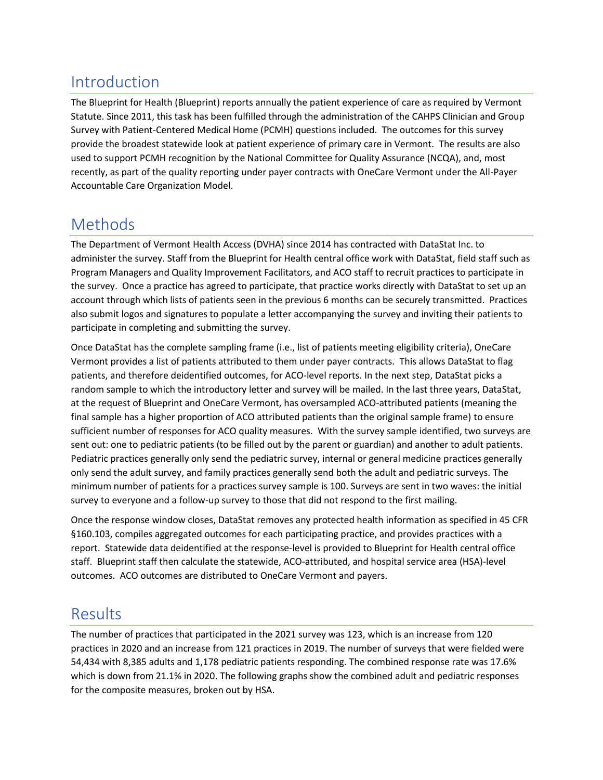# Introduction

The Blueprint for Health (Blueprint) reports annually the patient experience of care as required by Vermont Statute. Since 2011, this task has been fulfilled through the administration of the CAHPS Clinician and Group Survey with Patient-Centered Medical Home (PCMH) questions included. The outcomes for this survey provide the broadest statewide look at patient experience of primary care in Vermont. The results are also used to support PCMH recognition by the National Committee for Quality Assurance (NCQA), and, most recently, as part of the quality reporting under payer contracts with OneCare Vermont under the All-Payer Accountable Care Organization Model.

# Methods

The Department of Vermont Health Access (DVHA) since 2014 has contracted with DataStat Inc. to administer the survey. Staff from the Blueprint for Health central office work with DataStat, field staff such as Program Managers and Quality Improvement Facilitators, and ACO staff to recruit practices to participate in the survey. Once a practice has agreed to participate, that practice works directly with DataStat to set up an account through which lists of patients seen in the previous 6 months can be securely transmitted. Practices also submit logos and signatures to populate a letter accompanying the survey and inviting their patients to participate in completing and submitting the survey.

Once DataStat has the complete sampling frame (i.e., list of patients meeting eligibility criteria), OneCare Vermont provides a list of patients attributed to them under payer contracts. This allows DataStat to flag patients, and therefore deidentified outcomes, for ACO-level reports. In the next step, DataStat picks a random sample to which the introductory letter and survey will be mailed. In the last three years, DataStat, at the request of Blueprint and OneCare Vermont, has oversampled ACO-attributed patients (meaning the final sample has a higher proportion of ACO attributed patients than the original sample frame) to ensure sufficient number of responses for ACO quality measures. With the survey sample identified, two surveys are sent out: one to pediatric patients (to be filled out by the parent or guardian) and another to adult patients. Pediatric practices generally only send the pediatric survey, internal or general medicine practices generally only send the adult survey, and family practices generally send both the adult and pediatric surveys. The minimum number of patients for a practices survey sample is 100. Surveys are sent in two waves: the initial survey to everyone and a follow-up survey to those that did not respond to the first mailing.

Once the response window closes, DataStat removes any protected health information as specified in 45 CFR §160.103, compiles aggregated outcomes for each participating practice, and provides practices with a report. Statewide data deidentified at the response-level is provided to Blueprint for Health central office staff. Blueprint staff then calculate the statewide, ACO-attributed, and hospital service area (HSA)-level outcomes. ACO outcomes are distributed to OneCare Vermont and payers.

# Results

The number of practices that participated in the 2021 survey was 123, which is an increase from 120 practices in 2020 and an increase from 121 practices in 2019. The number of surveys that were fielded were 54,434 with 8,385 adults and 1,178 pediatric patients responding. The combined response rate was 17.6% which is down from 21.1% in 2020. The following graphs show the combined adult and pediatric responses for the composite measures, broken out by HSA.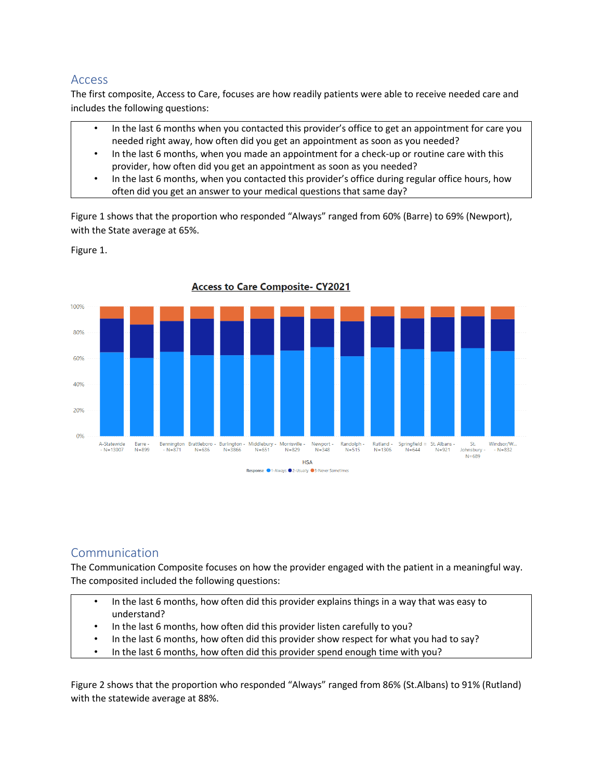#### Access

The first composite, Access to Care, focuses are how readily patients were able to receive needed care and includes the following questions:

- In the last 6 months when you contacted this provider's office to get an appointment for care you needed right away, how often did you get an appointment as soon as you needed?
- In the last 6 months, when you made an appointment for a check-up or routine care with this provider, how often did you get an appointment as soon as you needed?
- In the last 6 months, when you contacted this provider's office during regular office hours, how often did you get an answer to your medical questions that same day?

Figure 1 shows that the proportion who responded "Always" ranged from 60% (Barre) to 69% (Newport), with the State average at 65%.

Figure 1.



**Access to Care Composite- CY2021** 

## **Communication**

The Communication Composite focuses on how the provider engaged with the patient in a meaningful way. The composited included the following questions:

- In the last 6 months, how often did this provider explains things in a way that was easy to understand?
- In the last 6 months, how often did this provider listen carefully to you?
- In the last 6 months, how often did this provider show respect for what you had to say?
- In the last 6 months, how often did this provider spend enough time with you?

Figure 2 shows that the proportion who responded "Always" ranged from 86% (St.Albans) to 91% (Rutland) with the statewide average at 88%.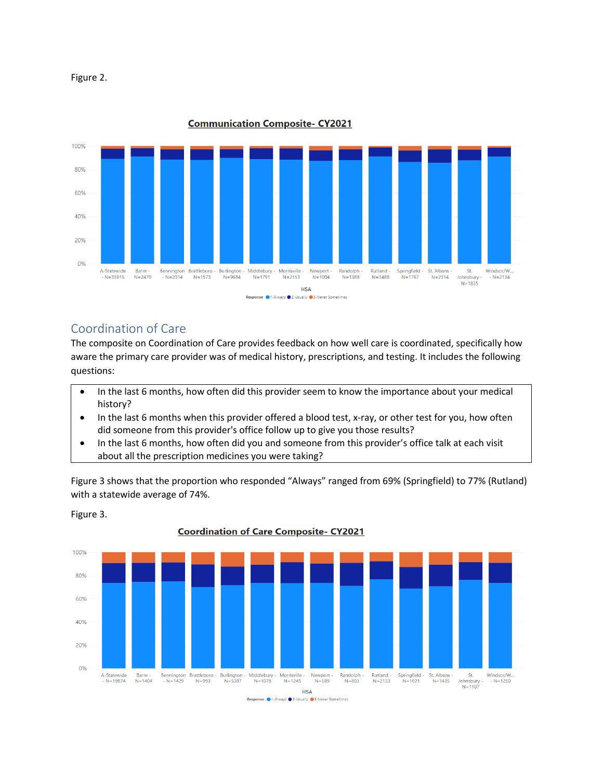



**Communication Composite-CY2021** 

#### Coordination of Care

Figure 3.

The composite on Coordination of Care provides feedback on how well care is coordinated, specifically how aware the primary care provider was of medical history, prescriptions, and testing. It includes the following questions:

- In the last 6 months, how often did this provider seem to know the importance about your medical history?
- In the last 6 months when this provider offered a blood test, x-ray, or other test for you, how often did someone from this provider's office follow up to give you those results?
- In the last 6 months, how often did you and someone from this provider's office talk at each visit about all the prescription medicines you were taking?

Figure 3 shows that the proportion who responded "Always" ranged from 69% (Springfield) to 77% (Rutland) with a statewide average of 74%.



**Coordination of Care Composite- CY2021**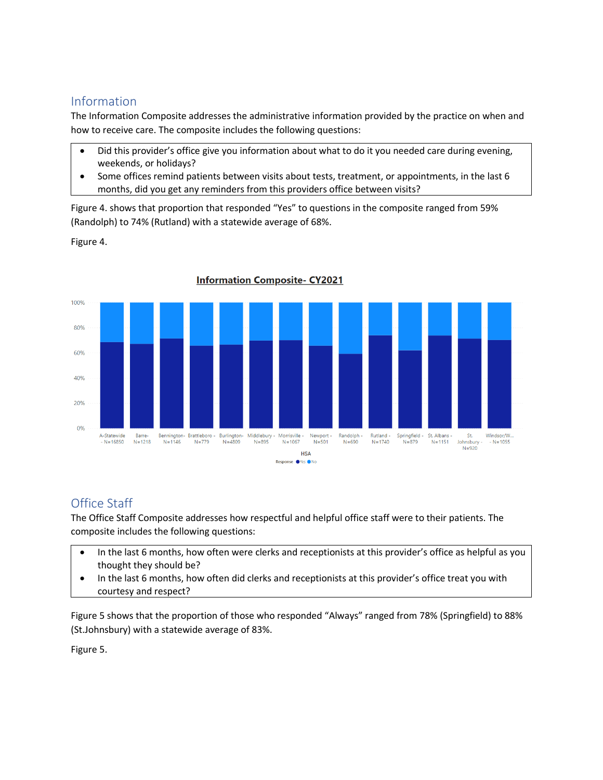## Information

The Information Composite addresses the administrative information provided by the practice on when and how to receive care. The composite includes the following questions:

- Did this provider's office give you information about what to do it you needed care during evening, weekends, or holidays?
- Some offices remind patients between visits about tests, treatment, or appointments, in the last 6 months, did you get any reminders from this providers office between visits?

Figure 4. shows that proportion that responded "Yes" to questions in the composite ranged from 59% (Randolph) to 74% (Rutland) with a statewide average of 68%.

Figure 4.



**Information Composite-CY2021** 

## Office Staff

The Office Staff Composite addresses how respectful and helpful office staff were to their patients. The composite includes the following questions:

- In the last 6 months, how often were clerks and receptionists at this provider's office as helpful as you thought they should be?
- In the last 6 months, how often did clerks and receptionists at this provider's office treat you with courtesy and respect?

Figure 5 shows that the proportion of those who responded "Always" ranged from 78% (Springfield) to 88% (St.Johnsbury) with a statewide average of 83%.

Figure 5.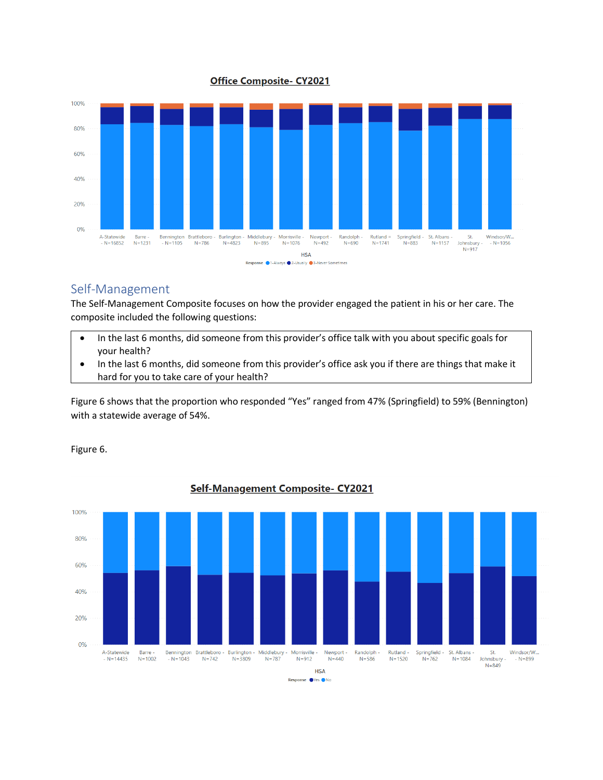#### **Office Composite- CY2021**



#### Self-Management

The Self-Management Composite focuses on how the provider engaged the patient in his or her care. The composite included the following questions:

- In the last 6 months, did someone from this provider's office talk with you about specific goals for your health?
- In the last 6 months, did someone from this provider's office ask you if there are things that make it hard for you to take care of your health?

Figure 6 shows that the proportion who responded "Yes" ranged from 47% (Springfield) to 59% (Bennington) with a statewide average of 54%.



#### Figure 6.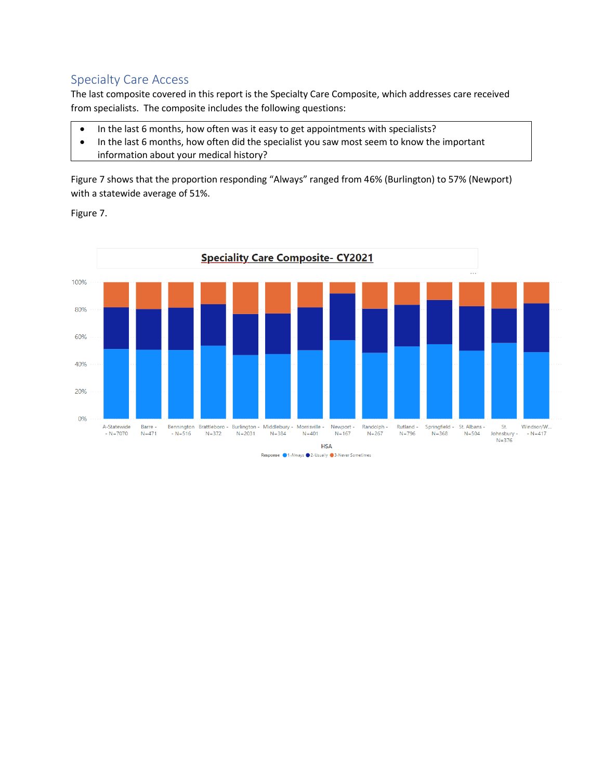## Specialty Care Access

The last composite covered in this report is the Specialty Care Composite, which addresses care received from specialists. The composite includes the following questions:

- In the last 6 months, how often was it easy to get appointments with specialists?
- In the last 6 months, how often did the specialist you saw most seem to know the important information about your medical history?

Figure 7 shows that the proportion responding "Always" ranged from 46% (Burlington) to 57% (Newport) with a statewide average of 51%.

Figure 7.

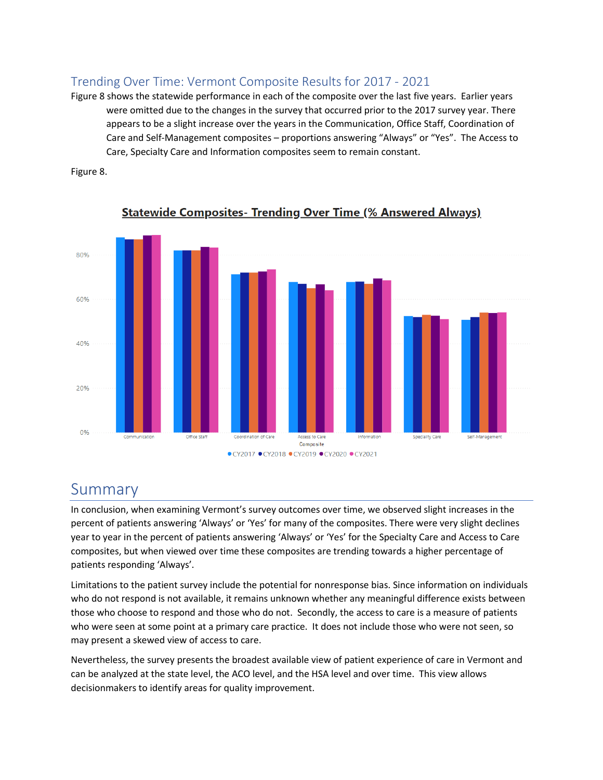## Trending Over Time: Vermont Composite Results for 2017 - 2021

Figure 8 shows the statewide performance in each of the composite over the last five years. Earlier years were omitted due to the changes in the survey that occurred prior to the 2017 survey year. There appears to be a slight increase over the years in the Communication, Office Staff, Coordination of Care and Self-Management composites – proportions answering "Always" or "Yes". The Access to Care, Specialty Care and Information composites seem to remain constant.



Figure 8.

## Summary

In conclusion, when examining Vermont's survey outcomes over time, we observed slight increases in the percent of patients answering 'Always' or 'Yes' for many of the composites. There were very slight declines year to year in the percent of patients answering 'Always' or 'Yes' for the Specialty Care and Access to Care composites, but when viewed over time these composites are trending towards a higher percentage of patients responding 'Always'.

Limitations to the patient survey include the potential for nonresponse bias. Since information on individuals who do not respond is not available, it remains unknown whether any meaningful difference exists between those who choose to respond and those who do not. Secondly, the access to care is a measure of patients who were seen at some point at a primary care practice. It does not include those who were not seen, so may present a skewed view of access to care.

Nevertheless, the survey presents the broadest available view of patient experience of care in Vermont and can be analyzed at the state level, the ACO level, and the HSA level and over time. This view allows decisionmakers to identify areas for quality improvement.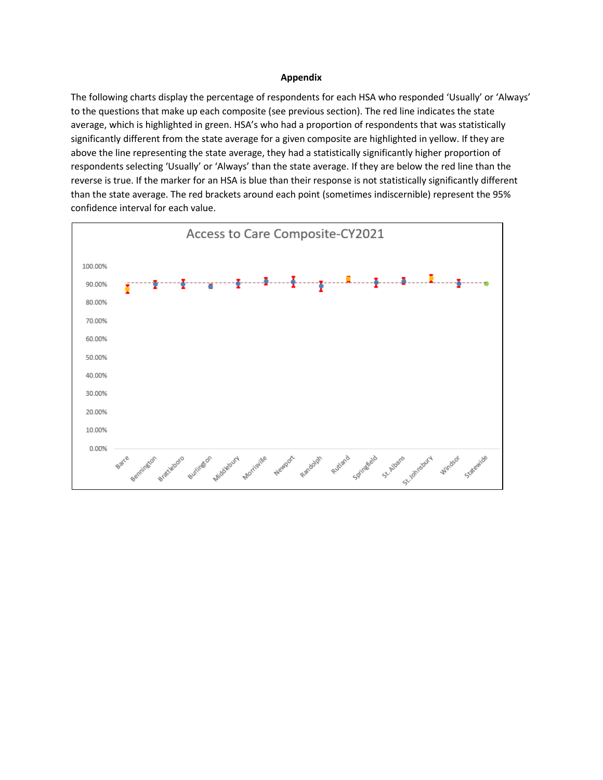#### **Appendix**

The following charts display the percentage of respondents for each HSA who responded 'Usually' or 'Always' to the questions that make up each composite (see previous section). The red line indicates the state average, which is highlighted in green. HSA's who had a proportion of respondents that was statistically significantly different from the state average for a given composite are highlighted in yellow. If they are above the line representing the state average, they had a statistically significantly higher proportion of respondents selecting 'Usually' or 'Always' than the state average. If they are below the red line than the reverse is true. If the marker for an HSA is blue than their response is not statistically significantly different than the state average. The red brackets around each point (sometimes indiscernible) represent the 95% confidence interval for each value.

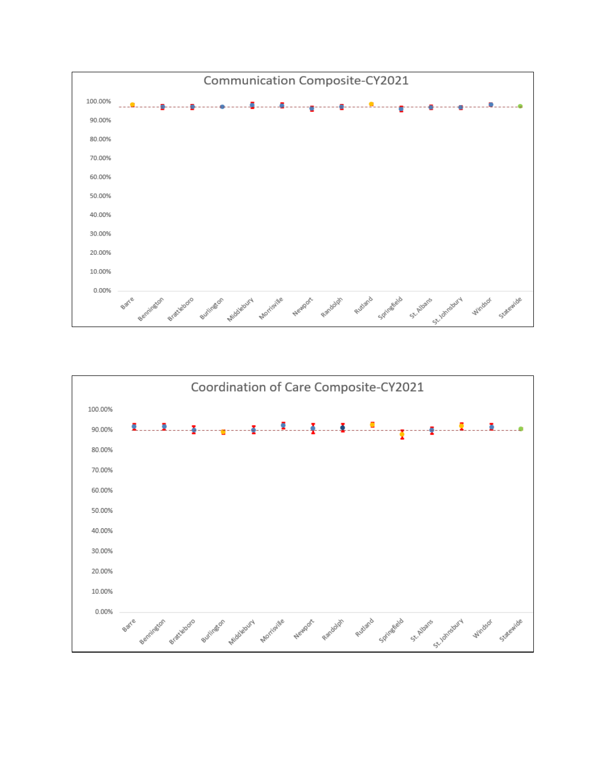

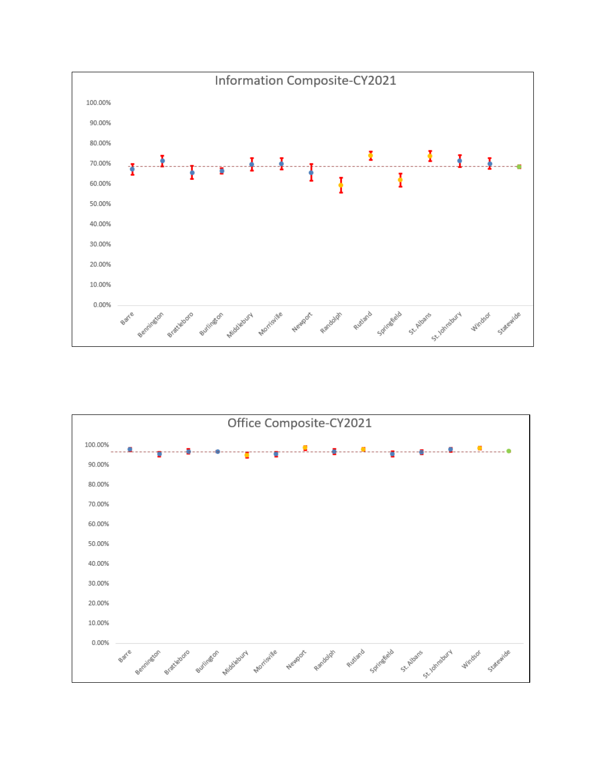